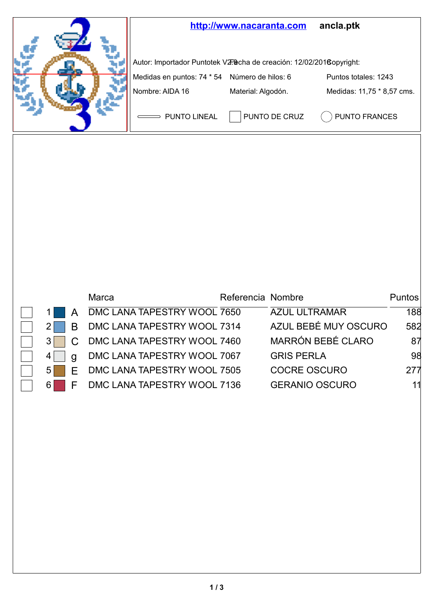

|    | Marca                       | Referencia Nombre |                       | <b>Puntos</b> |
|----|-----------------------------|-------------------|-----------------------|---------------|
|    | DMC LANA TAPESTRY WOOL 7650 |                   | <b>AZUL ULTRAMAR</b>  | 188           |
| R  | DMC LANA TAPESTRY WOOL 7314 |                   | AZUL BEBÉ MUY OSCURO  | 582           |
|    | DMC LANA TAPESTRY WOOL 7460 |                   | MARRÓN BEBÉ CLARO     | 87            |
|    | DMC LANA TAPESTRY WOOL 7067 |                   | <b>GRIS PERLA</b>     | 98            |
| F  | DMC LANA TAPESTRY WOOL 7505 |                   | COCRE OSCURO          | 277           |
| 61 | DMC LANA TAPESTRY WOOL 7136 |                   | <b>GERANIO OSCURO</b> |               |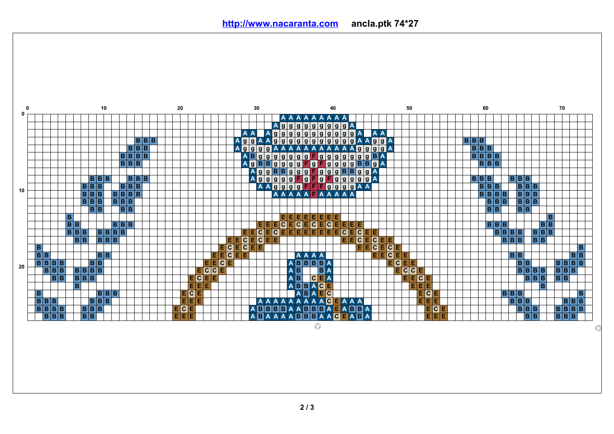**<http://www.nacaranta.com>ancla.ptk 74\*27**